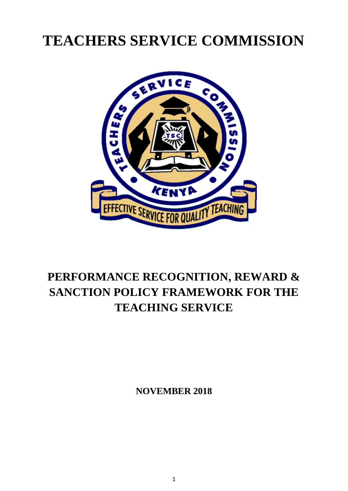# **TEACHERS SERVICE COMMISSION**



## **PERFORMANCE RECOGNITION, REWARD & SANCTION POLICY FRAMEWORK FOR THE TEACHING SERVICE**

**NOVEMBER 2018**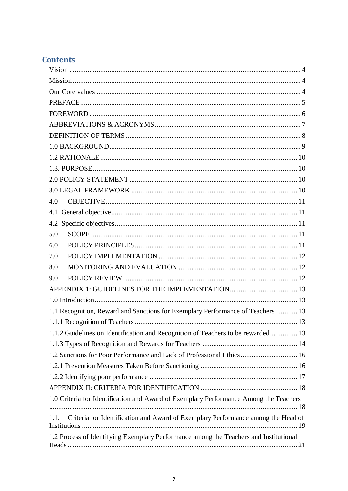## **Contents**

| 4.0                                                                                   |
|---------------------------------------------------------------------------------------|
|                                                                                       |
|                                                                                       |
| 5.0                                                                                   |
| 6.0                                                                                   |
| 7.0                                                                                   |
| 8.0                                                                                   |
| 9.0                                                                                   |
|                                                                                       |
|                                                                                       |
| 1.1 Recognition, Reward and Sanctions for Exemplary Performance of Teachers 13        |
|                                                                                       |
| 1.1.2 Guidelines on Identification and Recognition of Teachers to be rewarded 13      |
|                                                                                       |
| 1.2 Sanctions for Poor Performance and Lack of Professional Ethics 16                 |
|                                                                                       |
|                                                                                       |
|                                                                                       |
| 1.0 Criteria for Identification and Award of Exemplary Performance Among the Teachers |
| 1.1. Criteria for Identification and Award of Exemplary Performance among the Head of |
|                                                                                       |
| 1.2 Process of Identifying Exemplary Performance among the Teachers and Institutional |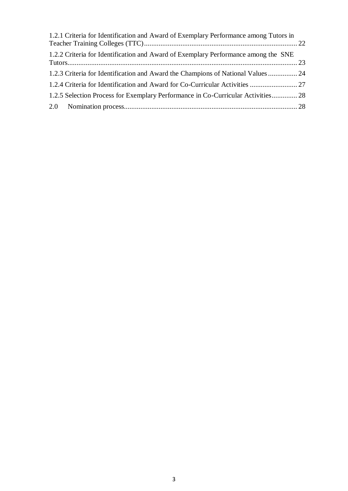| 1.2.1 Criteria for Identification and Award of Exemplary Performance among Tutors in |  |
|--------------------------------------------------------------------------------------|--|
| 1.2.2 Criteria for Identification and Award of Exemplary Performance among the SNE   |  |
| 1.2.3 Criteria for Identification and Award the Champions of National Values  24     |  |
| 1.2.4 Criteria for Identification and Award for Co-Curricular Activities  27         |  |
| 1.2.5 Selection Process for Exemplary Performance in Co-Curricular Activities 28     |  |
|                                                                                      |  |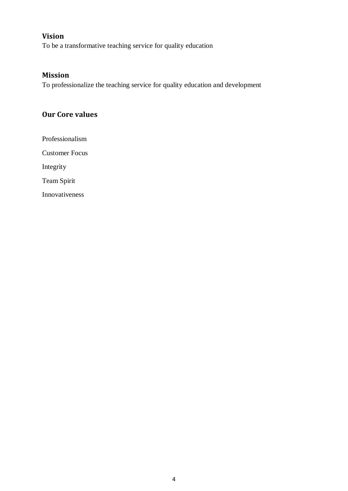## <span id="page-3-0"></span>**Vision**

To be a transformative teaching service for quality education

## <span id="page-3-1"></span>**Mission**

To professionalize the teaching service for quality education and development

## <span id="page-3-2"></span>**Our Core values**

Professionalism Customer Focus Integrity Team Spirit Innovativeness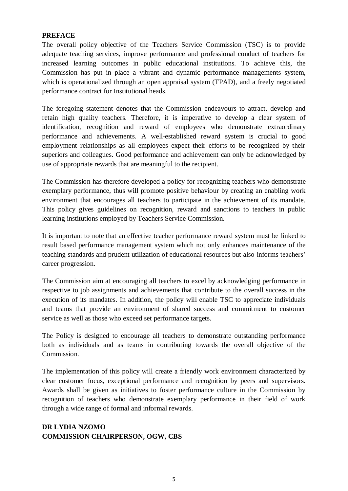#### <span id="page-4-0"></span>**PREFACE**

The overall policy objective of the Teachers Service Commission (TSC) is to provide adequate teaching services, improve performance and professional conduct of teachers for increased learning outcomes in public educational institutions. To achieve this, the Commission has put in place a vibrant and dynamic performance managements system, which is operationalized through an open appraisal system (TPAD), and a freely negotiated performance contract for Institutional heads.

The foregoing statement denotes that the Commission endeavours to attract, develop and retain high quality teachers. Therefore, it is imperative to develop a clear system of identification, recognition and reward of employees who demonstrate extraordinary performance and achievements. A well-established reward system is crucial to good employment relationships as all employees expect their efforts to be recognized by their superiors and colleagues. Good performance and achievement can only be acknowledged by use of appropriate rewards that are meaningful to the recipient.

The Commission has therefore developed a policy for recognizing teachers who demonstrate exemplary performance, thus will promote positive behaviour by creating an enabling work environment that encourages all teachers to participate in the achievement of its mandate. This policy gives guidelines on recognition, reward and sanctions to teachers in public learning institutions employed by Teachers Service Commission.

It is important to note that an effective teacher performance reward system must be linked to result based performance management system which not only enhances maintenance of the teaching standards and prudent utilization of educational resources but also informs teachers' career progression.

The Commission aim at encouraging all teachers to excel by acknowledging performance in respective to job assignments and achievements that contribute to the overall success in the execution of its mandates. In addition, the policy will enable TSC to appreciate individuals and teams that provide an environment of shared success and commitment to customer service as well as those who exceed set performance targets.

The Policy is designed to encourage all teachers to demonstrate outstanding performance both as individuals and as teams in contributing towards the overall objective of the Commission.

The implementation of this policy will create a friendly work environment characterized by clear customer focus, exceptional performance and recognition by peers and supervisors. Awards shall be given as initiatives to foster performance culture in the Commission by recognition of teachers who demonstrate exemplary performance in their field of work through a wide range of formal and informal rewards.

## **DR LYDIA NZOMO COMMISSION CHAIRPERSON, OGW, CBS**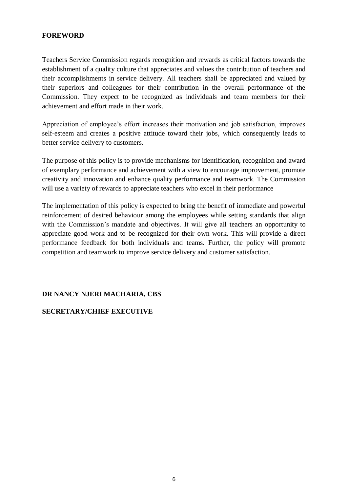## <span id="page-5-0"></span>**FOREWORD**

Teachers Service Commission regards recognition and rewards as critical factors towards the establishment of a quality culture that appreciates and values the contribution of teachers and their accomplishments in service delivery. All teachers shall be appreciated and valued by their superiors and colleagues for their contribution in the overall performance of the Commission. They expect to be recognized as individuals and team members for their achievement and effort made in their work.

Appreciation of employee's effort increases their motivation and job satisfaction, improves self-esteem and creates a positive attitude toward their jobs, which consequently leads to better service delivery to customers.

The purpose of this policy is to provide mechanisms for identification, recognition and award of exemplary performance and achievement with a view to encourage improvement, promote creativity and innovation and enhance quality performance and teamwork. The Commission will use a variety of rewards to appreciate teachers who excel in their performance

The implementation of this policy is expected to bring the benefit of immediate and powerful reinforcement of desired behaviour among the employees while setting standards that align with the Commission's mandate and objectives. It will give all teachers an opportunity to appreciate good work and to be recognized for their own work. This will provide a direct performance feedback for both individuals and teams. Further, the policy will promote competition and teamwork to improve service delivery and customer satisfaction.

#### **DR NANCY NJERI MACHARIA, CBS**

#### **SECRETARY/CHIEF EXECUTIVE**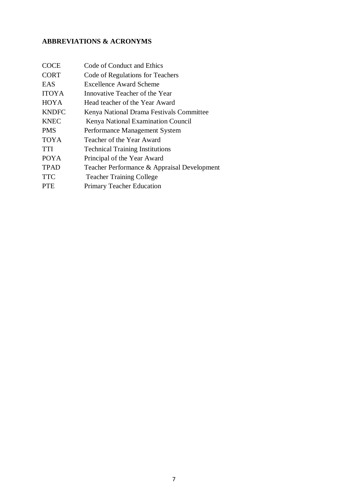## <span id="page-6-0"></span>**ABBREVIATIONS & ACRONYMS**

| <b>COCE</b>  | Code of Conduct and Ethics                  |
|--------------|---------------------------------------------|
| <b>CORT</b>  | Code of Regulations for Teachers            |
| <b>EAS</b>   | <b>Excellence Award Scheme</b>              |
| <b>ITOYA</b> | Innovative Teacher of the Year              |
| <b>HOYA</b>  | Head teacher of the Year Award              |
| <b>KNDFC</b> | Kenya National Drama Festivals Committee    |
| <b>KNEC</b>  | Kenya National Examination Council          |
| <b>PMS</b>   | Performance Management System               |
| <b>TOYA</b>  | Teacher of the Year Award                   |
| <b>TTI</b>   | <b>Technical Training Institutions</b>      |
| <b>POYA</b>  | Principal of the Year Award                 |
| <b>TPAD</b>  | Teacher Performance & Appraisal Development |
| <b>TTC</b>   | <b>Teacher Training College</b>             |
| <b>PTE</b>   | <b>Primary Teacher Education</b>            |
|              |                                             |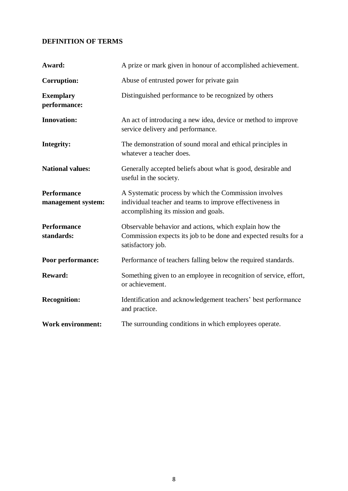## <span id="page-7-0"></span>**DEFINITION OF TERMS**

| Award:                                   | A prize or mark given in honour of accomplished achievement.                                                                                              |
|------------------------------------------|-----------------------------------------------------------------------------------------------------------------------------------------------------------|
| <b>Corruption:</b>                       | Abuse of entrusted power for private gain                                                                                                                 |
| <b>Exemplary</b><br>performance:         | Distinguished performance to be recognized by others                                                                                                      |
| <b>Innovation:</b>                       | An act of introducing a new idea, device or method to improve<br>service delivery and performance.                                                        |
| Integrity:                               | The demonstration of sound moral and ethical principles in<br>whatever a teacher does.                                                                    |
| <b>National values:</b>                  | Generally accepted beliefs about what is good, desirable and<br>useful in the society.                                                                    |
| <b>Performance</b><br>management system: | A Systematic process by which the Commission involves<br>individual teacher and teams to improve effectiveness in<br>accomplishing its mission and goals. |
| <b>Performance</b><br>standards:         | Observable behavior and actions, which explain how the<br>Commission expects its job to be done and expected results for a<br>satisfactory job.           |
| Poor performance:                        | Performance of teachers falling below the required standards.                                                                                             |
| <b>Reward:</b>                           | Something given to an employee in recognition of service, effort,<br>or achievement.                                                                      |
| <b>Recognition:</b>                      | Identification and acknowledgement teachers' best performance<br>and practice.                                                                            |
| <b>Work environment:</b>                 | The surrounding conditions in which employees operate.                                                                                                    |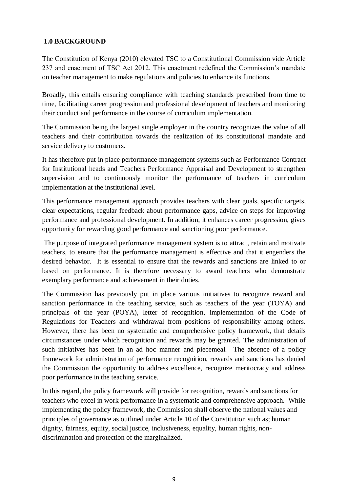## <span id="page-8-0"></span>**1.0 BACKGROUND**

The Constitution of Kenya (2010) elevated TSC to a Constitutional Commission vide Article 237 and enactment of TSC Act 2012. This enactment redefined the Commission's mandate on teacher management to make regulations and policies to enhance its functions.

Broadly, this entails ensuring compliance with teaching standards prescribed from time to time, facilitating career progression and professional development of teachers and monitoring their conduct and performance in the course of curriculum implementation.

The Commission being the largest single employer in the country recognizes the value of all teachers and their contribution towards the realization of its constitutional mandate and service delivery to customers.

It has therefore put in place performance management systems such as Performance Contract for Institutional heads and Teachers Performance Appraisal and Development to strengthen supervision and to continuously monitor the performance of teachers in curriculum implementation at the institutional level.

This performance management approach provides teachers with clear goals, specific targets, clear expectations, regular feedback about performance gaps, advice on steps for improving performance and professional development. In addition, it enhances career progression, gives opportunity for rewarding good performance and sanctioning poor performance.

The purpose of integrated performance management system is to attract, retain and motivate teachers, to ensure that the performance management is effective and that it engenders the desired behavior. It is essential to ensure that the rewards and sanctions are linked to or based on performance. It is therefore necessary to award teachers who demonstrate exemplary performance and achievement in their duties.

The Commission has previously put in place various initiatives to recognize reward and sanction performance in the teaching service, such as teachers of the year (TOYA) and principals of the year (POYA), letter of recognition, implementation of the Code of Regulations for Teachers and withdrawal from positions of responsibility among others. However, there has been no systematic and comprehensive policy framework, that details circumstances under which recognition and rewards may be granted. The administration of such initiatives has been in an ad hoc manner and piecemeal. The absence of a policy framework for administration of performance recognition, rewards and sanctions has denied the Commission the opportunity to address excellence, recognize meritocracy and address poor performance in the teaching service.

In this regard, the policy framework will provide for recognition, rewards and sanctions for teachers who excel in work performance in a systematic and comprehensive approach. While implementing the policy framework, the Commission shall observe the national values and principles of governance as outlined under Article 10 of the Constitution such as; human dignity, fairness, equity, social justice, inclusiveness, equality, human rights, nondiscrimination and protection of the marginalized.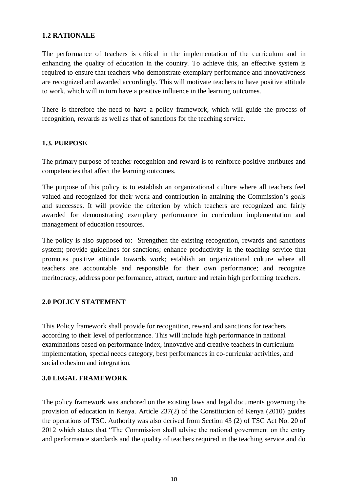## <span id="page-9-0"></span>**1.2 RATIONALE**

The performance of teachers is critical in the implementation of the curriculum and in enhancing the quality of education in the country. To achieve this, an effective system is required to ensure that teachers who demonstrate exemplary performance and innovativeness are recognized and awarded accordingly. This will motivate teachers to have positive attitude to work, which will in turn have a positive influence in the learning outcomes.

There is therefore the need to have a policy framework, which will guide the process of recognition, rewards as well as that of sanctions for the teaching service.

## <span id="page-9-1"></span>**1.3. PURPOSE**

The primary purpose of teacher recognition and reward is to reinforce positive attributes and competencies that affect the learning outcomes.

The purpose of this policy is to establish an organizational culture where all teachers feel valued and recognized for their work and contribution in attaining the Commission's goals and successes. It will provide the criterion by which teachers are recognized and fairly awarded for demonstrating exemplary performance in curriculum implementation and management of education resources.

The policy is also supposed to: Strengthen the existing recognition, rewards and sanctions system; provide guidelines for sanctions; enhance productivity in the teaching service that promotes positive attitude towards work; establish an organizational culture where all teachers are accountable and responsible for their own performance; and recognize meritocracy, address poor performance, attract, nurture and retain high performing teachers.

## <span id="page-9-2"></span>**2.0 POLICY STATEMENT**

This Policy framework shall provide for recognition, reward and sanctions for teachers according to their level of performance. This will include high performance in national examinations based on performance index, innovative and creative teachers in curriculum implementation, special needs category, best performances in co-curricular activities, and social cohesion and integration.

## <span id="page-9-3"></span>**3.0 LEGAL FRAMEWORK**

The policy framework was anchored on the existing laws and legal documents governing the provision of education in Kenya. Article 237(2) of the Constitution of Kenya (2010) guides the operations of TSC. Authority was also derived from Section 43 (2) of TSC Act No. 20 of 2012 which states that "The Commission shall advise the national government on the entry and performance standards and the quality of teachers required in the teaching service and do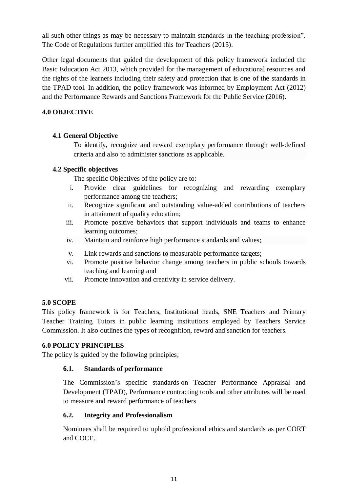all such other things as may be necessary to maintain standards in the teaching profession". The Code of Regulations further amplified this for Teachers (2015).

Other legal documents that guided the development of this policy framework included the Basic Education Act 2013, which provided for the management of educational resources and the rights of the learners including their safety and protection that is one of the standards in the TPAD tool. In addition, the policy framework was informed by Employment Act (2012) and the Performance Rewards and Sanctions Framework for the Public Service (2016).

## <span id="page-10-0"></span>**4.0 OBJECTIVE**

## <span id="page-10-1"></span>**4.1 General Objective**

To identify, recognize and reward exemplary performance through well-defined criteria and also to administer sanctions as applicable.

## <span id="page-10-2"></span>**4.2 Specific objectives**

The specific Objectives of the policy are to:

- i. Provide clear guidelines for recognizing and rewarding exemplary performance among the teachers;
- ii. Recognize significant and outstanding value-added contributions of teachers in attainment of quality education;
- iii. Promote positive behaviors that support individuals and teams to enhance learning outcomes;
- iv. Maintain and reinforce high performance standards and values;
- v. Link rewards and sanctions to measurable performance targets;
- vi. Promote positive behavior change among teachers in public schools towards teaching and learning and
- vii. Promote innovation and creativity in service delivery.

## <span id="page-10-3"></span>**5.0 SCOPE**

This policy framework is for Teachers, Institutional heads, SNE Teachers and Primary Teacher Training Tutors in public learning institutions employed by Teachers Service Commission. It also outlines the types of recognition, reward and sanction for teachers.

## <span id="page-10-4"></span>**6.0 POLICY PRINCIPLES**

The policy is guided by the following principles;

## **6.1. Standards of performance**

The Commission's specific standards on Teacher Performance Appraisal and Development (TPAD), Performance contracting tools and other attributes will be used to measure and reward performance of teachers

## **6.2. Integrity and Professionalism**

Nominees shall be required to uphold professional ethics and standards as per CORT and COCE.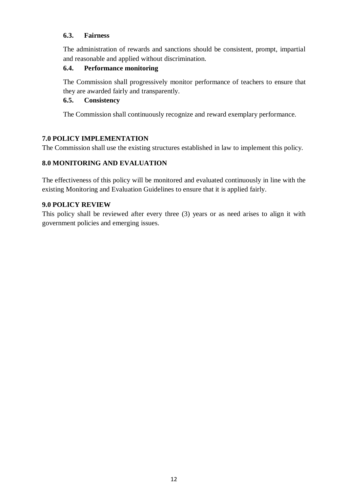## **6.3. Fairness**

The administration of rewards and sanctions should be consistent, prompt, impartial and reasonable and applied without discrimination.

#### **6.4. Performance monitoring**

The Commission shall progressively monitor performance of teachers to ensure that they are awarded fairly and transparently.

#### **6.5. Consistency**

The Commission shall continuously recognize and reward exemplary performance.

## <span id="page-11-0"></span>**7.0 POLICY IMPLEMENTATION**

The Commission shall use the existing structures established in law to implement this policy.

## <span id="page-11-1"></span>**8.0 MONITORING AND EVALUATION**

The effectiveness of this policy will be monitored and evaluated continuously in line with the existing Monitoring and Evaluation Guidelines to ensure that it is applied fairly.

#### <span id="page-11-2"></span>**9.0 POLICY REVIEW**

<span id="page-11-3"></span>This policy shall be reviewed after every three (3) years or as need arises to align it with government policies and emerging issues.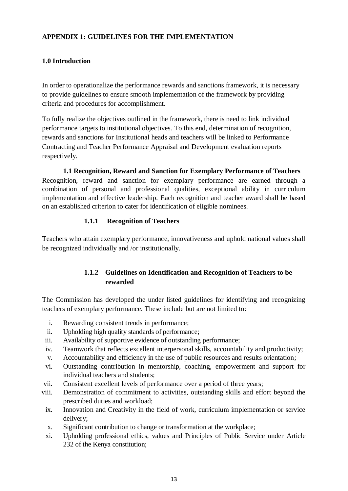## **APPENDIX 1: GUIDELINES FOR THE IMPLEMENTATION**

## <span id="page-12-0"></span>**1.0 Introduction**

In order to operationalize the performance rewards and sanctions framework, it is necessary to provide guidelines to ensure smooth implementation of the framework by providing criteria and procedures for accomplishment.

To fully realize the objectives outlined in the framework, there is need to link individual performance targets to institutional objectives. To this end, determination of recognition, rewards and sanctions for Institutional heads and teachers will be linked to Performance Contracting and Teacher Performance Appraisal and Development evaluation reports respectively.

<span id="page-12-1"></span>**1.1 Recognition, Reward and Sanction for Exemplary Performance of Teachers**  Recognition, reward and sanction for exemplary performance are earned through a combination of personal and professional qualities, exceptional ability in curriculum implementation and effective leadership. Each recognition and teacher award shall be based on an established criterion to cater for identification of eligible nominees.

## **1.1.1 Recognition of Teachers**

<span id="page-12-3"></span><span id="page-12-2"></span>Teachers who attain exemplary performance, innovativeness and uphold national values shall be recognized individually and /or institutionally.

## **1.1.2 Guidelines on Identification and Recognition of Teachers to be rewarded**

The Commission has developed the under listed guidelines for identifying and recognizing teachers of exemplary performance. These include but are not limited to:

- i. Rewarding consistent trends in performance;
- ii. Upholding high quality standards of performance;
- iii. Availability of supportive evidence of outstanding performance;
- iv. Teamwork that reflects excellent interpersonal skills, accountability and productivity;
- v. Accountability and efficiency in the use of public resources and results orientation;
- vi. Outstanding contribution in mentorship, coaching, empowerment and support for individual teachers and students;
- vii. Consistent excellent levels of performance over a period of three years;
- viii. Demonstration of commitment to activities, outstanding skills and effort beyond the prescribed duties and workload;
- ix. Innovation and Creativity in the field of work, curriculum implementation or service delivery;
- x. Significant contribution to change or transformation at the workplace;
- xi. Upholding professional ethics, values and Principles of Public Service under Article 232 of the Kenya constitution;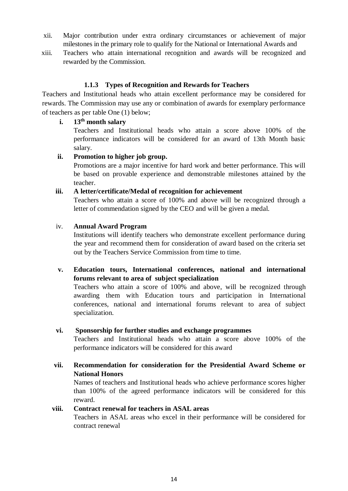- xii. Major contribution under extra ordinary circumstances or achievement of major milestones in the primary role to qualify for the National or International Awards and
- xiii. Teachers who attain international recognition and awards will be recognized and rewarded by the Commission.

## **1.1.3 Types of Recognition and Rewards for Teachers**

<span id="page-13-0"></span>Teachers and Institutional heads who attain excellent performance may be considered for rewards. The Commission may use any or combination of awards for exemplary performance of teachers as per table One (1) below;

## **i. 13th month salary**

Teachers and Institutional heads who attain a score above 100% of the performance indicators will be considered for an award of 13th Month basic salary.

## **ii. Promotion to higher job group.**

Promotions are a major incentive for hard work and better performance. This will be based on provable experience and demonstrable milestones attained by the teacher.

## **iii. A letter/certificate/Medal of recognition for achievement**

Teachers who attain a score of 100% and above will be recognized through a letter of commendation signed by the CEO and will be given a medal.

## iv. **Annual Award Program**

Institutions will identify teachers who demonstrate excellent performance during the year and recommend them for consideration of award based on the criteria set out by the Teachers Service Commission from time to time.

## **v. Education tours, International conferences, national and international forums relevant to area of subject specialization**

Teachers who attain a score of 100% and above, will be recognized through awarding them with Education tours and participation in International conferences, national and international forums relevant to area of subject specialization.

## **vi. Sponsorship for further studies and exchange programmes**

Teachers and Institutional heads who attain a score above 100% of the performance indicators will be considered for this award

**vii. Recommendation for consideration for the Presidential Award Scheme or National Honors**

Names of teachers and Institutional heads who achieve performance scores higher than 100% of the agreed performance indicators will be considered for this reward.

## **viii. Contract renewal for teachers in ASAL areas**

Teachers in ASAL areas who excel in their performance will be considered for contract renewal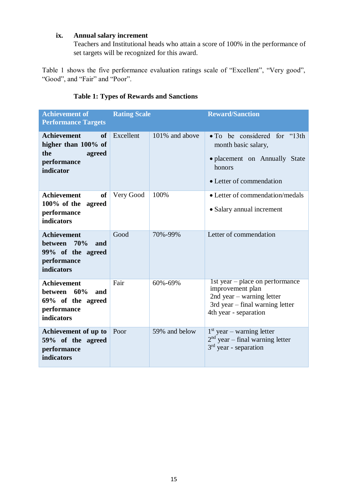## **ix. Annual salary increment**

Teachers and Institutional heads who attain a score of 100% in the performance of set targets will be recognized for this award.

Table 1 shows the five performance evaluation ratings scale of "Excellent", "Very good", "Good", and "Fair" and "Poor".

<span id="page-14-0"></span>

| <b>Achievement of</b><br><b>Performance Targets</b>                                          | <b>Rating Scale</b> |                | <b>Reward/Sanction</b>                                                                                                                         |  |  |  |
|----------------------------------------------------------------------------------------------|---------------------|----------------|------------------------------------------------------------------------------------------------------------------------------------------------|--|--|--|
| <b>Achievement</b><br>of<br>higher than 100% of<br>the<br>agreed<br>performance<br>indicator | Excellent           | 101% and above | • To be considered for "13th"<br>month basic salary,<br>· placement on Annually State<br>honors<br>• Letter of commendation                    |  |  |  |
| <b>Achievement</b><br><b>of</b><br>$100\%$ of the<br>agreed<br>performance<br>indicators     | Very Good           | 100%           | • Letter of commendation/medals<br>• Salary annual increment                                                                                   |  |  |  |
| <b>Achievement</b><br>between 70%<br>and<br>99% of the agreed<br>performance<br>indicators   | Good                | 70%-99%        | Letter of commendation                                                                                                                         |  |  |  |
| <b>Achievement</b><br>between 60%<br>and<br>69% of the agreed<br>performance<br>indicators   | Fair                | 60%-69%        | 1st year – place on performance<br>improvement plan<br>2nd year $-$ warning letter<br>3rd year - final warning letter<br>4th year - separation |  |  |  |
| Achievement of up to<br>59% of the agreed<br>performance<br>indicators                       | Poor                | 59% and below  | $1st$ year – warning letter<br>$2nd$ year – final warning letter<br>$3rd$ year - separation                                                    |  |  |  |

## **Table 1: Types of Rewards and Sanctions**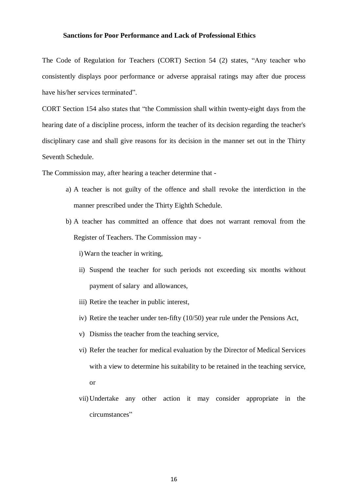#### <span id="page-15-0"></span>**Sanctions for Poor Performance and Lack of Professional Ethics**

The Code of Regulation for Teachers (CORT) Section 54 (2) states, "Any teacher who consistently displays poor performance or adverse appraisal ratings may after due process have his/her services terminated".

CORT Section 154 also states that "the Commission shall within twenty-eight days from the hearing date of a discipline process, inform the teacher of its decision regarding the teacher's disciplinary case and shall give reasons for its decision in the manner set out in the Thirty Seventh Schedule.

The Commission may, after hearing a teacher determine that -

- a) A teacher is not guilty of the offence and shall revoke the interdiction in the manner prescribed under the Thirty Eighth Schedule.
- b) A teacher has committed an offence that does not warrant removal from the Register of Teachers. The Commission may -

i)Warn the teacher in writing,

- ii) Suspend the teacher for such periods not exceeding six months without payment of salary and allowances,
- iii) Retire the teacher in public interest,
- iv) Retire the teacher under ten-fifty (10/50) year rule under the Pensions Act,
- v) Dismiss the teacher from the teaching service,
- vi) Refer the teacher for medical evaluation by the Director of Medical Services with a view to determine his suitability to be retained in the teaching service, or
- vii) Undertake any other action it may consider appropriate in the circumstances"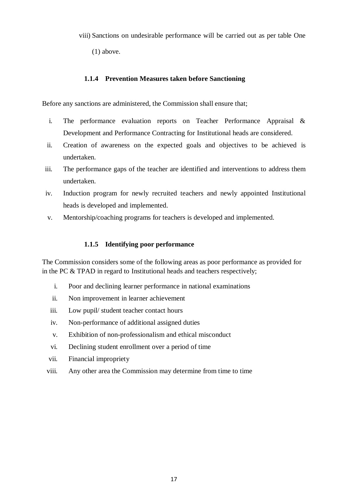- viii) Sanctions on undesirable performance will be carried out as per table One
	- (1) above.

#### **1.1.4 Prevention Measures taken before Sanctioning**

Before any sanctions are administered, the Commission shall ensure that;

- i. The performance evaluation reports on Teacher Performance Appraisal & Development and Performance Contracting for Institutional heads are considered.
- ii. Creation of awareness on the expected goals and objectives to be achieved is undertaken.
- iii. The performance gaps of the teacher are identified and interventions to address them undertaken.
- iv. Induction program for newly recruited teachers and newly appointed Institutional heads is developed and implemented.
- v. Mentorship/coaching programs for teachers is developed and implemented.

#### **1.1.5 Identifying poor performance**

<span id="page-16-0"></span>The Commission considers some of the following areas as poor performance as provided for in the PC & TPAD in regard to Institutional heads and teachers respectively;

- i. Poor and declining learner performance in national examinations
- ii. Non improvement in learner achievement
- iii. Low pupil/ student teacher contact hours
- iv. Non-performance of additional assigned duties
- v. Exhibition of non-professionalism and ethical misconduct
- vi. Declining student enrollment over a period of time
- vii. Financial impropriety
- viii. Any other area the Commission may determine from time to time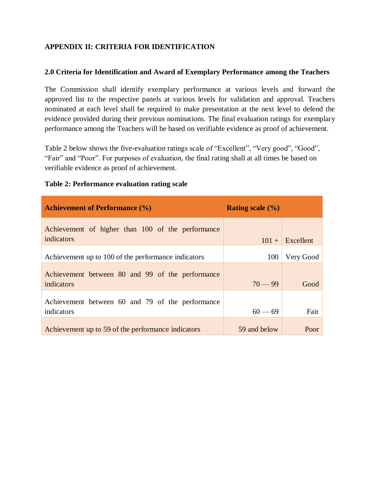## **APPENDIX II: CRITERIA FOR IDENTIFICATION**

#### <span id="page-17-0"></span>**2.0 Criteria for Identification and Award of Exemplary Performance among the Teachers**

<span id="page-17-1"></span>The Commission shall identify exemplary performance at various levels and forward the approved list to the respective panels at various levels for validation and approval. Teachers nominated at each level shall be required to make presentation at the next level to defend the evidence provided during their previous nominations. The final evaluation ratings for exemplary performance among the Teachers will be based on verifiable evidence as proof of achievement.

Table 2 below shows the five-evaluation ratings scale of "Excellent", "Very good", "Good", "Fair" and "Poor". For purposes of evaluation, the final rating shall at all times be based on verifiable evidence as proof of achievement.

| <b>Achievement of Performance (%)</b>                           | <b>Rating scale</b> $(\% )$ |           |
|-----------------------------------------------------------------|-----------------------------|-----------|
| Achievement of higher than 100 of the performance<br>indicators | $101 +$                     | Excellent |
| Achievement up to 100 of the performance indicators             | 100                         | Very Good |
| Achievement between 80 and 99 of the performance<br>indicators  | $70 - 99$                   | Good      |
| Achievement between 60 and 79 of the performance<br>indicators  | $60 - 69$                   | Fair      |
| Achievement up to 59 of the performance indicators              | 59 and below                | Poor      |

#### **Table 2: Performance evaluation rating scale**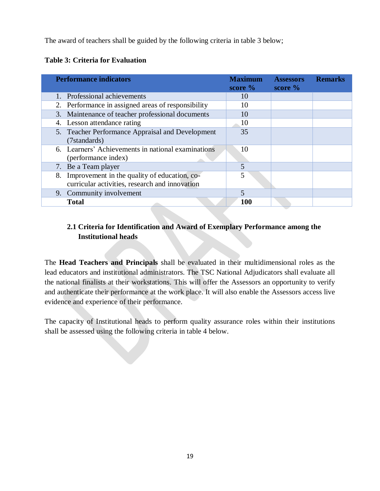The award of teachers shall be guided by the following criteria in table 3 below;

## **Table 3: Criteria for Evaluation**

| <b>Performance indicators</b>                                                                     | <b>Maximum</b><br>score $\%$ | <b>Assessors</b><br>score $\%$ | <b>Remarks</b> |
|---------------------------------------------------------------------------------------------------|------------------------------|--------------------------------|----------------|
| 1. Professional achievements                                                                      | 10                           |                                |                |
| 2. Performance in assigned areas of responsibility                                                | 10                           |                                |                |
| 3. Maintenance of teacher professional documents                                                  | 10                           |                                |                |
| 4. Lesson attendance rating                                                                       | 10                           |                                |                |
| 5. Teacher Performance Appraisal and Development<br>(7standards)                                  | 35                           |                                |                |
| 6. Learners' Achievements in national examinations<br>(performance index)                         | 10                           |                                |                |
| 7. Be a Team player                                                                               | 5                            |                                |                |
| 8. Improvement in the quality of education, co-<br>curricular activities, research and innovation | 5                            |                                |                |
| 9. Community involvement                                                                          | $\overline{5}$               |                                |                |
| <b>Total</b>                                                                                      | <b>100</b>                   |                                |                |

## **2.1 Criteria for Identification and Award of Exemplary Performance among the Institutional heads**

<span id="page-18-0"></span>The **Head Teachers and Principals** shall be evaluated in their multidimensional roles as the lead educators and institutional administrators. The TSC National Adjudicators shall evaluate all the national finalists at their workstations. This will offer the Assessors an opportunity to verify and authenticate their performance at the work place. It will also enable the Assessors access live evidence and experience of their performance.

The capacity of Institutional heads to perform quality assurance roles within their institutions shall be assessed using the following criteria in table 4 below.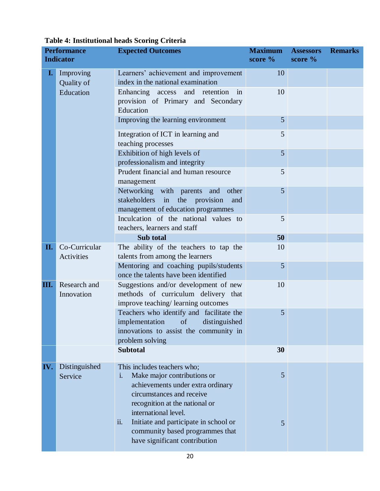#### **Performance Indicator Expected Outcomes Maximum score % Assessors score % Remarks I.** Improving Quality of Education Learners' achievement and improvement index in the national examination 10 Enhancing access and retention in provision of Primary and Secondary Education 10 Improving the learning environment 5 Integration of ICT in learning and teaching processes 5 Exhibition of high levels of professionalism and integrity 5 Prudent financial and human resource management 5 Networking with parents and other stakeholders in the provision and management of education programmes 5 Inculcation of the national values to teachers, learners and staff 5 **Sub total 50** 50 **II.** Co-Curricular Activities The ability of the teachers to tap the talents from among the learners 10 Mentoring and coaching pupils/students once the talents have been identified 5 **III.** Research and Innovation Suggestions and/or development of new methods of curriculum delivery that improve teaching/ learning outcomes 10 Teachers who identify and facilitate the implementation of distinguished innovations to assist the community in problem solving 5 **Subtotal 30 IV.** Distinguished Service This includes teachers who; i. Make major contributions or achievements under extra ordinary circumstances and receive recognition at the national or international level. ii. Initiate and participate in school or community based programmes that have significant contribution 5 5

#### **Table 4: Institutional heads Scoring Criteria**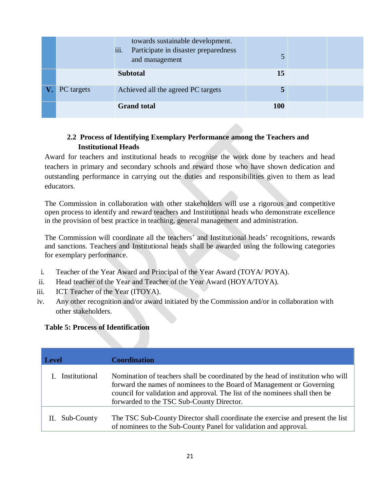|            | towards sustainable development.<br>Participate in disaster preparedness<br>iii.<br>and management |            |  |
|------------|----------------------------------------------------------------------------------------------------|------------|--|
|            | <b>Subtotal</b>                                                                                    | 15         |  |
| PC targets | Achieved all the agreed PC targets                                                                 | 5          |  |
|            | <b>Grand</b> total                                                                                 | <b>100</b> |  |

## **2.2 Process of Identifying Exemplary Performance among the Teachers and Institutional Heads**

<span id="page-20-0"></span>Award for teachers and institutional heads to recognise the work done by teachers and head teachers in primary and secondary schools and reward those who have shown dedication and outstanding performance in carrying out the duties and responsibilities given to them as lead educators.

The Commission in collaboration with other stakeholders will use a rigorous and competitive open process to identify and reward teachers and Institutional heads who demonstrate excellence in the provision of best practice in teaching, general management and administration.

The Commission will coordinate all the teachers' and Institutional heads' recognitions, rewards and sanctions. Teachers and Institutional heads shall be awarded using the following categories for exemplary performance.

- i. Teacher of the Year Award and Principal of the Year Award (TOYA/ POYA).
- ii. Head teacher of the Year and Teacher of the Year Award (HOYA/TOYA).
- iii. ICT Teacher of the Year (ITOYA).
- iv. Any other recognition and/or award initiated by the Commission and/or in collaboration with other stakeholders.

## **Table 5: Process of Identification**

| <b>Level</b>  | <b>Coordination</b>                                                                                                                                                                                                                                                                  |
|---------------|--------------------------------------------------------------------------------------------------------------------------------------------------------------------------------------------------------------------------------------------------------------------------------------|
| Institutional | Nomination of teachers shall be coordinated by the head of institution who will<br>forward the names of nominees to the Board of Management or Governing<br>council for validation and approval. The list of the nominees shall then be<br>forwarded to the TSC Sub-County Director. |
| Sub-County    | The TSC Sub-County Director shall coordinate the exercise and present the list<br>of nominees to the Sub-County Panel for validation and approval.                                                                                                                                   |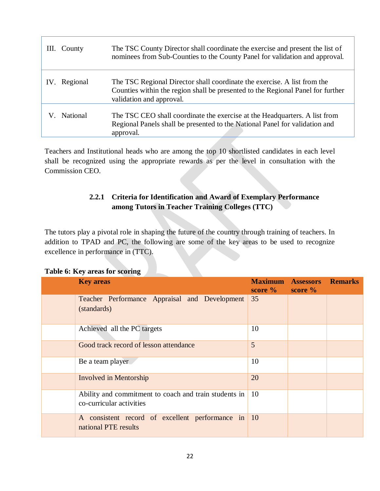| III. County     | The TSC County Director shall coordinate the exercise and present the list of<br>nominees from Sub-Counties to the County Panel for validation and approval.                            |
|-----------------|-----------------------------------------------------------------------------------------------------------------------------------------------------------------------------------------|
| Regional<br>IV. | The TSC Regional Director shall coordinate the exercise. A list from the<br>Counties within the region shall be presented to the Regional Panel for further<br>validation and approval. |
| <b>National</b> | The TSC CEO shall coordinate the exercise at the Headquarters. A list from<br>Regional Panels shall be presented to the National Panel for validation and<br>approval.                  |

Teachers and Institutional heads who are among the top 10 shortlisted candidates in each level shall be recognized using the appropriate rewards as per the level in consultation with the Commission CEO.

## **2.2.1 Criteria for Identification and Award of Exemplary Performance among Tutors in Teacher Training Colleges (TTC)**

<span id="page-21-0"></span>The tutors play a pivotal role in shaping the future of the country through training of teachers. In addition to TPAD and PC, the following are some of the key areas to be used to recognize excellence in performance in (TTC).

| <b>Key areas</b>                                                                  | <b>Maximum</b><br>score $\%$ | <b>Assessors</b><br>score $\%$ | <b>Remarks</b> |
|-----------------------------------------------------------------------------------|------------------------------|--------------------------------|----------------|
| Teacher Performance Appraisal and Development<br>(standards)                      | 35                           |                                |                |
| Achieved all the PC targets                                                       | 10                           |                                |                |
| Good track record of lesson attendance                                            | 5                            |                                |                |
| Be a team player                                                                  | 10                           |                                |                |
| <b>Involved in Mentorship</b>                                                     | 20                           |                                |                |
| Ability and commitment to coach and train students in<br>co-curricular activities | 10                           |                                |                |
| A consistent record of excellent performance in<br>national PTE results           | <sup>10</sup>                |                                |                |

## **Table 6: Key areas for scoring**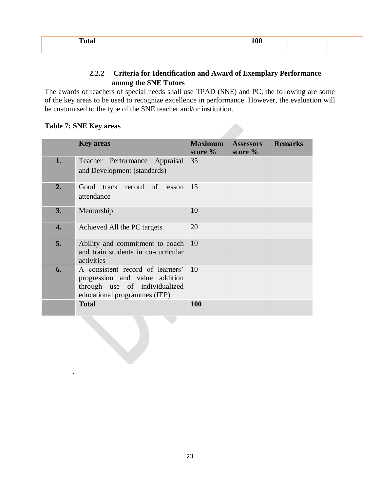| --<br>. | . |  |
|---------|---|--|
|         |   |  |

## **2.2.2 Criteria for Identification and Award of Exemplary Performance among the SNE Tutors**

<span id="page-22-0"></span>The awards of teachers of special needs shall use TPAD (SNE) and PC; the following are some of the key areas to be used to recognize excellence in performance. However, the evaluation will be customised to the type of the SNE teacher and/or institution.

#### **Table 7: SNE Key areas**

.

|    | <b>Key areas</b>                                                                                                                       | <b>Maximum</b><br>score $\%$ | <b>Assessors</b><br>score $%$ | <b>Remarks</b> |
|----|----------------------------------------------------------------------------------------------------------------------------------------|------------------------------|-------------------------------|----------------|
| 1. | Teacher Performance Appraisal 35<br>and Development (standards)                                                                        |                              |                               |                |
| 2. | Good track record of lesson 15<br>attendance                                                                                           |                              |                               |                |
| 3. | Mentorship                                                                                                                             | 10                           |                               |                |
| 4. | Achieved All the PC targets                                                                                                            | 20                           |                               |                |
| 5. | Ability and commitment to coach 10<br>and train students in co-curricular<br>activities                                                |                              |                               |                |
| 6. | A consistent record of learners' 10<br>progression and value addition<br>through use of individualized<br>educational programmes (IEP) |                              |                               |                |
|    | <b>Total</b>                                                                                                                           | 100                          |                               |                |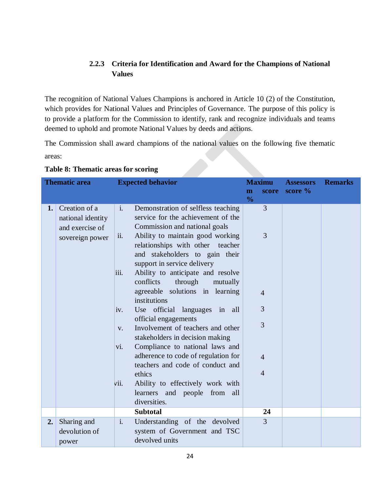## **2.2.3 Criteria for Identification and Award for the Champions of National Values**

<span id="page-23-0"></span>The recognition of National Values Champions is anchored in Article 10 (2) of the Constitution, which provides for National Values and Principles of Governance. The purpose of this policy is to provide a platform for the Commission to identify, rank and recognize individuals and teams deemed to uphold and promote National Values by deeds and actions.

The Commission shall award champions of the national values on the following five thematic areas:

| <b>Thematic area</b> |                                                                          | <b>Expected behavior</b>                         |                                                                                                                                                                                                                                                                                                                                                                                                                                                                                                                                                                                                                                                                                                                             | <b>Maximu</b>      |                                                                                             | <b>Assessors</b> | <b>Remarks</b> |
|----------------------|--------------------------------------------------------------------------|--------------------------------------------------|-----------------------------------------------------------------------------------------------------------------------------------------------------------------------------------------------------------------------------------------------------------------------------------------------------------------------------------------------------------------------------------------------------------------------------------------------------------------------------------------------------------------------------------------------------------------------------------------------------------------------------------------------------------------------------------------------------------------------------|--------------------|---------------------------------------------------------------------------------------------|------------------|----------------|
|                      |                                                                          |                                                  |                                                                                                                                                                                                                                                                                                                                                                                                                                                                                                                                                                                                                                                                                                                             | m<br>$\frac{0}{0}$ | score                                                                                       | score $%$        |                |
| 1.                   | Creation of a<br>national identity<br>and exercise of<br>sovereign power | $i$ .<br>ii.<br>iii.<br>iv.<br>V.<br>vi.<br>Vii. | Demonstration of selfless teaching<br>service for the achievement of the<br>Commission and national goals<br>Ability to maintain good working<br>relationships with other teacher<br>and stakeholders to gain their<br>support in service delivery<br>Ability to anticipate and resolve<br>through<br>conflicts<br>mutually<br>agreeable solutions in learning<br>institutions<br>Use official languages in all<br>official engagements<br>Involvement of teachers and other<br>stakeholders in decision making<br>Compliance to national laws and<br>adherence to code of regulation for<br>teachers and code of conduct and<br>ethics<br>Ability to effectively work with<br>learners and people from all<br>diversities. |                    | $\overline{3}$<br>3<br>$\overline{4}$<br>3<br>3<br>$\boldsymbol{\Lambda}$<br>$\overline{4}$ |                  |                |
|                      |                                                                          |                                                  | <b>Subtotal</b>                                                                                                                                                                                                                                                                                                                                                                                                                                                                                                                                                                                                                                                                                                             |                    | 24                                                                                          |                  |                |
| 2.                   | Sharing and<br>devolution of<br>power                                    | $\mathbf{i}$ .                                   | Understanding of the devolved<br>system of Government and TSC<br>devolved units                                                                                                                                                                                                                                                                                                                                                                                                                                                                                                                                                                                                                                             |                    | $\overline{3}$                                                                              |                  |                |

**Table 8: Thematic areas for scoring**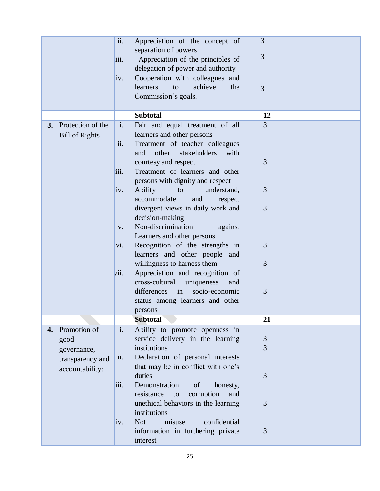|    |                                                         | ii.                           | Appreciation of the concept of                                                                                                                                                                      | 3                   |  |
|----|---------------------------------------------------------|-------------------------------|-----------------------------------------------------------------------------------------------------------------------------------------------------------------------------------------------------|---------------------|--|
|    |                                                         | iii.                          | separation of powers<br>Appreciation of the principles of<br>delegation of power and authority                                                                                                      | 3                   |  |
|    |                                                         | iv.                           | Cooperation with colleagues and<br>achieve<br>learners<br>to<br>the<br>Commission's goals.                                                                                                          | 3                   |  |
|    |                                                         |                               | <b>Subtotal</b>                                                                                                                                                                                     | 12                  |  |
| 3. | Protection of the<br><b>Bill of Rights</b>              | $\mathbf{i}$ .<br>ii.<br>iii. | Fair and equal treatment of all<br>learners and other persons<br>Treatment of teacher colleagues<br>stakeholders<br>with<br>and<br>other<br>courtesy and respect<br>Treatment of learners and other | $\overline{3}$<br>3 |  |
|    |                                                         | iv.                           | persons with dignity and respect<br>Ability<br>to<br>understand,<br>accommodate<br>and<br>respect                                                                                                   | 3                   |  |
|    |                                                         | $V_{\bullet}$                 | divergent views in daily work and<br>decision-making<br>Non-discrimination<br>against                                                                                                               | 3                   |  |
|    |                                                         | vi.                           | Learners and other persons<br>Recognition of the strengths in<br>learners and other people and                                                                                                      | 3                   |  |
|    |                                                         | V11.                          | willingness to harness them<br>Appreciation and recognition of<br>cross-cultural<br>uniqueness<br>and                                                                                               | 3                   |  |
|    |                                                         |                               | differences in<br>socio-economic<br>status among learners and other<br>persons                                                                                                                      | 3                   |  |
|    |                                                         |                               | <b>Subtotal</b>                                                                                                                                                                                     | 21                  |  |
| 4. | Promotion of<br>good<br>governance,<br>transparency and | $\mathbf{i}$ .<br>ii.         | Ability to promote openness in<br>service delivery in the learning<br>institutions<br>Declaration of personal interests                                                                             | 3<br>3              |  |
|    | accountability:                                         | iii.                          | that may be in conflict with one's<br>duties<br>Demonstration<br>of<br>honesty,                                                                                                                     | 3                   |  |
|    |                                                         |                               | resistance<br>corruption<br>to<br>and<br>unethical behaviors in the learning<br>institutions                                                                                                        | 3                   |  |
|    |                                                         | iv.                           | misuse<br>confidential<br><b>Not</b><br>information in furthering private<br>interest                                                                                                               | 3                   |  |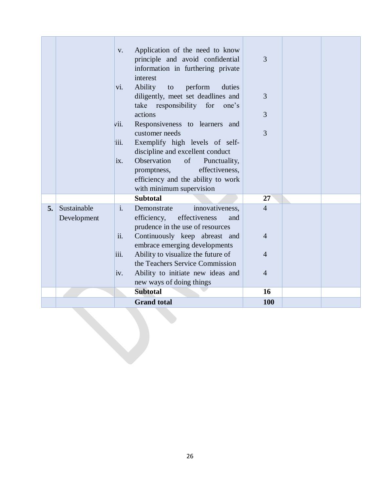|    |                            | V.<br>vi.<br>vii.<br>iii.<br>ix.     | Application of the need to know<br>principle and avoid confidential<br>information in furthering private<br>interest<br><b>Ability</b><br>perform<br>duties<br>to<br>diligently, meet set deadlines and<br>take responsibility for<br>one's<br>actions<br>Responsiveness to learners and<br>customer needs<br>Exemplify high levels of self-<br>discipline and excellent conduct<br>Observation<br>of<br>Punctuality,<br>effectiveness,<br>promptness,<br>efficiency and the ability to work<br>with minimum supervision | 3<br>3<br>3<br>3                                        |  |
|----|----------------------------|--------------------------------------|--------------------------------------------------------------------------------------------------------------------------------------------------------------------------------------------------------------------------------------------------------------------------------------------------------------------------------------------------------------------------------------------------------------------------------------------------------------------------------------------------------------------------|---------------------------------------------------------|--|
|    |                            |                                      | <b>Subtotal</b>                                                                                                                                                                                                                                                                                                                                                                                                                                                                                                          | 27                                                      |  |
| 5. | Sustainable<br>Development | $\mathbf{i}$ .<br>ii.<br>iii.<br>iv. | innovativeness,<br>Demonstrate<br>efficiency,<br>effectiveness<br>and<br>prudence in the use of resources<br>Continuously keep abreast and<br>embrace emerging developments<br>Ability to visualize the future of<br>the Teachers Service Commission<br>Ability to initiate new ideas and<br>new ways of doing things                                                                                                                                                                                                    | $\overline{4}$<br>$\overline{4}$<br>4<br>$\overline{4}$ |  |
|    |                            |                                      | <b>Subtotal</b>                                                                                                                                                                                                                                                                                                                                                                                                                                                                                                          | 16                                                      |  |
|    |                            |                                      | <b>Grand</b> total                                                                                                                                                                                                                                                                                                                                                                                                                                                                                                       | <b>100</b>                                              |  |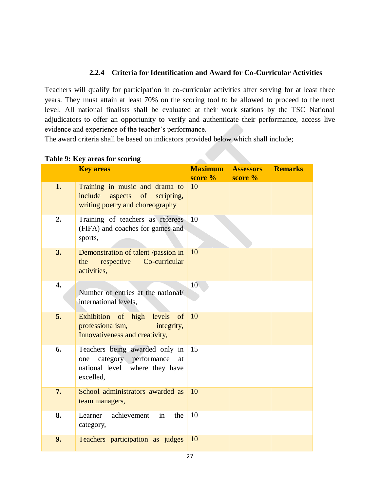## **2.2.4 Criteria for Identification and Award for Co-Curricular Activities**

<span id="page-26-0"></span>Teachers will qualify for participation in co-curricular activities after serving for at least three years. They must attain at least 70% on the scoring tool to be allowed to proceed to the next level. All national finalists shall be evaluated at their work stations by the TSC National adjudicators to offer an opportunity to verify and authenticate their performance, access live evidence and experience of the teacher's performance.

The award criteria shall be based on indicators provided below which shall include;

|                  | <b>Key areas</b>                                                                                                   | <b>Maximum</b>  | <b>Assessors</b> | <b>Remarks</b> |
|------------------|--------------------------------------------------------------------------------------------------------------------|-----------------|------------------|----------------|
|                  |                                                                                                                    | score $%$       | score $%$        |                |
| 1.               | Training in music and drama to<br>include aspects of scripting,<br>writing poetry and choreography                 | 10              |                  |                |
| 2.               | Training of teachers as referees<br>(FIFA) and coaches for games and<br>sports,                                    | 10              |                  |                |
| 3.               | Demonstration of talent /passion in<br>respective Co-curricular<br>the<br>activities,                              | 10              |                  |                |
| $\overline{4}$ . | Number of entries at the national/<br>international levels,                                                        | 10 <sub>1</sub> |                  |                |
| 5.               | Exhibition of high levels<br>of<br>professionalism,<br>integrity,<br>Innovativeness and creativity,                | 10              |                  |                |
| 6.               | Teachers being awarded only in<br>category performance<br>at<br>one<br>national level where they have<br>excelled, | 15              |                  |                |
| 7.               | School administrators awarded as<br>team managers,                                                                 | 10              |                  |                |
| 8.               | achievement<br>in<br>Learner<br>the<br>category,                                                                   | 10              |                  |                |
| 9.               | Teachers participation as judges                                                                                   | 10              |                  |                |

## **Table 9: Key areas for scoring**